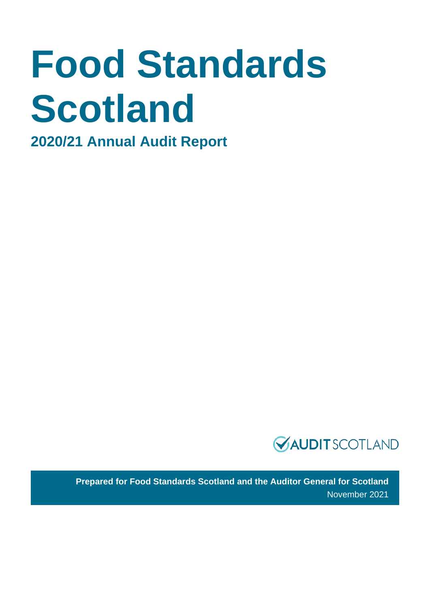# **Food Standards Scotland**

**2020/21 Annual Audit Report**



**Prepared for Food Standards Scotland and the Auditor General for Scotland** November 2021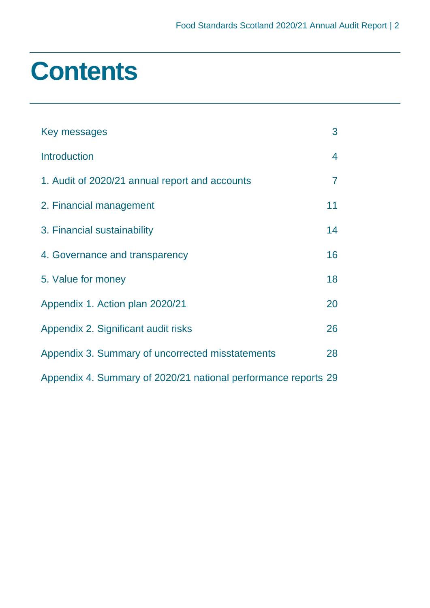### **Contents**

| Key messages                                                   | 3  |
|----------------------------------------------------------------|----|
| <b>Introduction</b>                                            | 4  |
| 1. Audit of 2020/21 annual report and accounts                 | 7  |
| 2. Financial management                                        | 11 |
| 3. Financial sustainability                                    | 14 |
| 4. Governance and transparency                                 | 16 |
| 5. Value for money                                             | 18 |
| Appendix 1. Action plan 2020/21                                | 20 |
| Appendix 2. Significant audit risks                            | 26 |
| Appendix 3. Summary of uncorrected misstatements               | 28 |
| Appendix 4. Summary of 2020/21 national performance reports 29 |    |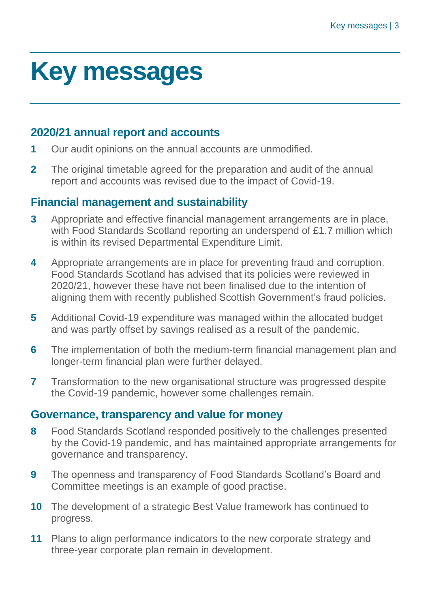### <span id="page-2-0"></span>**Key messages**

#### **2020/21 annual report and accounts**

- **1** Our audit opinions on the annual accounts are unmodified.
- **2** The original timetable agreed for the preparation and audit of the annual report and accounts was revised due to the impact of Covid-19.

#### **Financial management and sustainability**

- **3** Appropriate and effective financial management arrangements are in place, with Food Standards Scotland reporting an underspend of £1.7 million which is within its revised Departmental Expenditure Limit.
- **4** Appropriate arrangements are in place for preventing fraud and corruption. Food Standards Scotland has advised that its policies were reviewed in 2020/21, however these have not been finalised due to the intention of aligning them with recently published Scottish Government's fraud policies.
- **5** Additional Covid-19 expenditure was managed within the allocated budget and was partly offset by savings realised as a result of the pandemic.
- **6** The implementation of both the medium-term financial management plan and longer-term financial plan were further delayed.
- **7** Transformation to the new organisational structure was progressed despite the Covid-19 pandemic, however some challenges remain.

#### **Governance, transparency and value for money**

- **8** Food Standards Scotland responded positively to the challenges presented by the Covid-19 pandemic, and has maintained appropriate arrangements for governance and transparency.
- **9** The openness and transparency of Food Standards Scotland's Board and Committee meetings is an example of good practise.
- **10** The development of a strategic Best Value framework has continued to progress.
- **11** Plans to align performance indicators to the new corporate strategy and three-year corporate plan remain in development.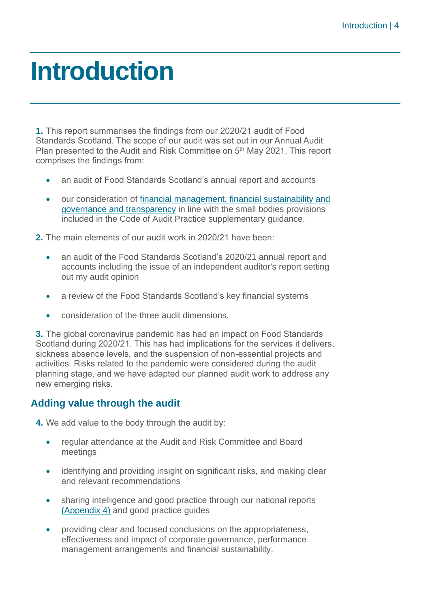### <span id="page-3-0"></span>**Introduction**

**1.** This report summarises the findings from our 2020/21 audit of Food Standards Scotland. The scope of our audit was set out in our Annual Audit Plan presented to the Audit and Risk Committee on 5<sup>th</sup> May 2021. This report comprises the findings from:

- an audit of Food Standards Scotland's annual report and accounts
- our consideration of financial management, financial sustainability and governance and transparency in line with the small bodies provisions included in the Code of Audit Practice supplementary guidance.

**2.** The main elements of our audit work in 2020/21 have been:

- an audit of the Food Standards Scotland's 2020/21 annual report and accounts including the issue of an independent auditor's report setting out my audit opinion
- a review of the Food Standards Scotland's key financial systems
- consideration of the three audit dimensions.

**3.** The global coronavirus pandemic has had an impact on Food Standards Scotland during 2020/21. This has had implications for the services it delivers, sickness absence levels, and the suspension of non-essential projects and activities. Risks related to the pandemic were considered during the audit planning stage, and we have adapted our planned audit work to address any new emerging risks.

#### **Adding value through the audit**

**4.** We add value to the body through the audit by:

- regular attendance at the Audit and Risk Committee and Board meetings
- identifying and providing insight on significant risks, and making clear and relevant recommendations
- sharing intelligence and good practice through our national reports [\(Appendix 4\)](#page-28-0) and good practice guides
- providing clear and focused conclusions on the appropriateness, effectiveness and impact of corporate governance, performance management arrangements and financial sustainability.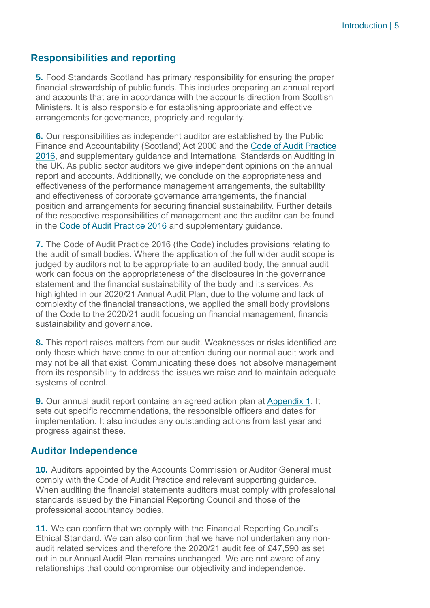#### **Responsibilities and reporting**

**5.** Food Standards Scotland has primary responsibility for ensuring the proper financial stewardship of public funds. This includes preparing an annual report and accounts that are in accordance with the accounts direction from Scottish Ministers. It is also responsible for establishing appropriate and effective arrangements for governance, propriety and regularity.

**6.** Our responsibilities as independent auditor are established by the Public Finance and Accountability (Scotland) Act 2000 and the [Code of Audit Practice](https://www.audit-scotland.gov.uk/report/code-of-audit-practice-2016)  [2016,](https://www.audit-scotland.gov.uk/report/code-of-audit-practice-2016) and supplementary guidance and International Standards on Auditing in the UK. As public sector auditors we give independent opinions on the annual report and accounts. Additionally, we conclude on the appropriateness and effectiveness of the performance management arrangements, the suitability and effectiveness of corporate governance arrangements, the financial position and arrangements for securing financial sustainability. Further details of the respective responsibilities of management and the auditor can be found in the [Code of Audit Practice 2016](http://auditscotland.spideronline.co.uk/report/code-of-audit-practice-2016) and supplementary guidance.

**7.** The Code of Audit Practice 2016 (the Code) includes provisions relating to the audit of small bodies. Where the application of the full wider audit scope is judged by auditors not to be appropriate to an audited body, the annual audit work can focus on the appropriateness of the disclosures in the governance statement and the financial sustainability of the body and its services. As highlighted in our 2020/21 Annual Audit Plan, due to the volume and lack of complexity of the financial transactions, we applied the small body provisions of the Code to the 2020/21 audit focusing on financial management, financial sustainability and governance.

**8.** This report raises matters from our audit. Weaknesses or risks identified are only those which have come to our attention during our normal audit work and may not be all that exist. Communicating these does not absolve management from its responsibility to address the issues we raise and to maintain adequate systems of control.

**9.** Our annual audit report contains an agreed action plan at [Appendix 1.](#page-19-0) It sets out specific recommendations, the responsible officers and dates for implementation. It also includes any outstanding actions from last year and progress against these.

#### **Auditor Independence**

**10.** Auditors appointed by the Accounts Commission or Auditor General must comply with the Code of Audit Practice and relevant supporting guidance. When auditing the financial statements auditors must comply with professional standards issued by the Financial Reporting Council and those of the professional accountancy bodies.

**11.** We can confirm that we comply with the Financial Reporting Council's Ethical Standard. We can also confirm that we have not undertaken any nonaudit related services and therefore the 2020/21 audit fee of £47,590 as set out in our Annual Audit Plan remains unchanged. We are not aware of any relationships that could compromise our objectivity and independence.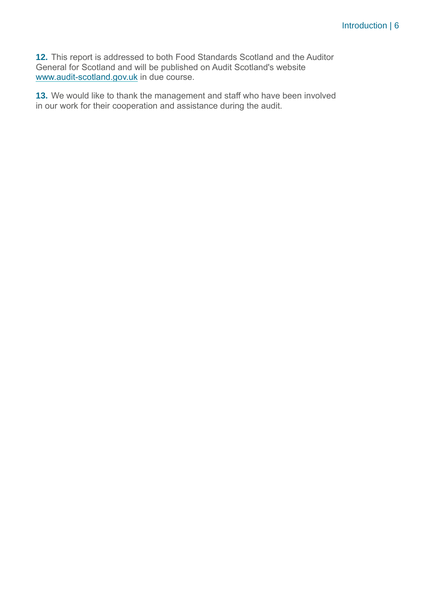**12.** This report is addressed to both Food Standards Scotland and the Auditor General for Scotland and will be published on Audit Scotland's website [www.audit-scotland.gov.uk](http://www.audit-scotland.gov.uk/) in due course.

**13.** We would like to thank the management and staff who have been involved in our work for their cooperation and assistance during the audit.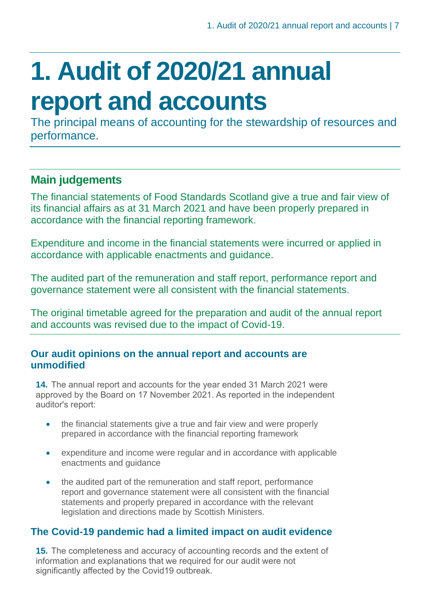### <span id="page-6-0"></span>**1. Audit of 2020/21 annual report and accounts**

The principal means of accounting for the stewardship of resources and performance.

#### **Main judgements**

The financial statements of Food Standards Scotland give a true and fair view of its financial affairs as at 31 March 2021 and have been properly prepared in accordance with the financial reporting framework.

Expenditure and income in the financial statements were incurred or applied in accordance with applicable enactments and guidance.

The audited part of the remuneration and staff report, performance report and governance statement were all consistent with the financial statements.

The original timetable agreed for the preparation and audit of the annual report and accounts was revised due to the impact of Covid-19.

#### **Our audit opinions on the annual report and accounts are unmodified**

**14.** The annual report and accounts for the year ended 31 March 2021 were approved by the Board on 17 November 2021. As reported in the independent auditor's report:

- the financial statements give a true and fair view and were properly prepared in accordance with the financial reporting framework
- expenditure and income were regular and in accordance with applicable enactments and guidance
- the audited part of the remuneration and staff report, performance report and governance statement were all consistent with the financial statements and properly prepared in accordance with the relevant legislation and directions made by Scottish Ministers.

#### **The Covid-19 pandemic had a limited impact on audit evidence**

**15.** The completeness and accuracy of accounting records and the extent of information and explanations that we required for our audit were not significantly affected by the Covid19 outbreak.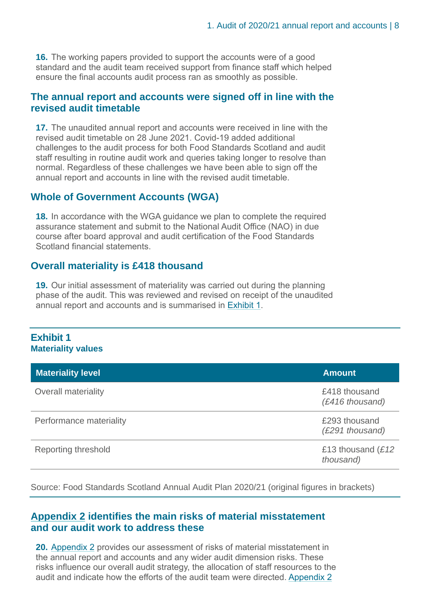**16.** The working papers provided to support the accounts were of a good standard and the audit team received support from finance staff which helped ensure the final accounts audit process ran as smoothly as possible.

#### **The annual report and accounts were signed off in line with the revised audit timetable**

**17.** The unaudited annual report and accounts were received in line with the revised audit timetable on 28 June 2021. Covid-19 added additional challenges to the audit process for both Food Standards Scotland and audit staff resulting in routine audit work and queries taking longer to resolve than normal. Regardless of these challenges we have been able to sign off the annual report and accounts in line with the revised audit timetable.

#### **Whole of Government Accounts (WGA)**

**18.** In accordance with the WGA guidance we plan to complete the required assurance statement and submit to the National Audit Office (NAO) in due course after board approval and audit certification of the Food Standards Scotland financial statements.

#### **Overall materiality is £418 thousand**

**19.** Our initial assessment of materiality was carried out during the planning phase of the audit. This was reviewed and revised on receipt of the unaudited annual report and accounts and is summarised in [Exhibit](#page-7-0) 1.

#### <span id="page-7-0"></span>**Exhibit 1 Materiality values**

| <b>Materiality level</b>   | <b>Amount</b>                     |
|----------------------------|-----------------------------------|
| <b>Overall materiality</b> | £418 thousand<br>(£416 thousand)  |
| Performance materiality    | £293 thousand<br>(£291 thousand)  |
| Reporting threshold        | £13 thousand $(E12)$<br>thousand) |

Source: Food Standards Scotland Annual Audit Plan 2020/21 (original figures in brackets)

#### **[Appendix 2](#page-25-0) identifies the main risks of material misstatement and our audit work to address these**

**20.** [Appendix 2](#page-25-0) provides our assessment of risks of material misstatement in the annual report and accounts and any wider audit dimension risks. These risks influence our overall audit strategy, the allocation of staff resources to the audit and indicate how the efforts of the audit team were directed. [Appendix 2](#page-25-0)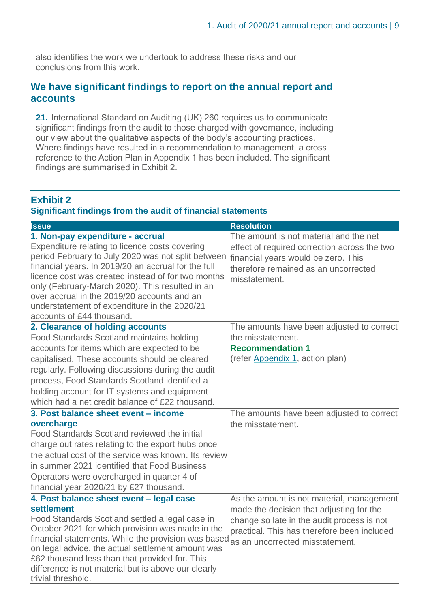also identifies the work we undertook to address these risks and our conclusions from this work.

#### **We have significant findings to report on the annual report and accounts**

**21.** International Standard on Auditing (UK) 260 requires us to communicate significant findings from the audit to those charged with governance, including our view about the qualitative aspects of the body's accounting practices. Where findings have resulted in a recommendation to management, a cross reference to the Action Plan in Appendix 1 has been included. The significant findings are summarised in Exhibit 2.

#### <span id="page-8-0"></span>**Exhibit 2 Significant findings from the audit of financial statements**

| <b>Issue</b>                                                                                                                                                                                                                                                                                                                                                                                                                         | <b>Resolution</b>                                                                                                                                                                      |
|--------------------------------------------------------------------------------------------------------------------------------------------------------------------------------------------------------------------------------------------------------------------------------------------------------------------------------------------------------------------------------------------------------------------------------------|----------------------------------------------------------------------------------------------------------------------------------------------------------------------------------------|
| 1. Non-pay expenditure - accrual<br>Expenditure relating to licence costs covering<br>period February to July 2020 was not split between<br>financial years. In 2019/20 an accrual for the full<br>licence cost was created instead of for two months<br>only (February-March 2020). This resulted in an<br>over accrual in the 2019/20 accounts and an<br>understatement of expenditure in the 2020/21<br>accounts of £44 thousand. | The amount is not material and the net<br>effect of required correction across the two<br>financial years would be zero. This<br>therefore remained as an uncorrected<br>misstatement. |
| 2. Clearance of holding accounts                                                                                                                                                                                                                                                                                                                                                                                                     | The amounts have been adjusted to correct                                                                                                                                              |
| Food Standards Scotland maintains holding                                                                                                                                                                                                                                                                                                                                                                                            | the misstatement.                                                                                                                                                                      |
| accounts for items which are expected to be                                                                                                                                                                                                                                                                                                                                                                                          | <b>Recommendation 1</b>                                                                                                                                                                |
| capitalised. These accounts should be cleared<br>regularly. Following discussions during the audit<br>process, Food Standards Scotland identified a                                                                                                                                                                                                                                                                                  | (refer Appendix 1, action plan)                                                                                                                                                        |
| holding account for IT systems and equipment                                                                                                                                                                                                                                                                                                                                                                                         |                                                                                                                                                                                        |
| which had a net credit balance of £22 thousand.                                                                                                                                                                                                                                                                                                                                                                                      |                                                                                                                                                                                        |
| 3. Post balance sheet event - income                                                                                                                                                                                                                                                                                                                                                                                                 | The amounts have been adjusted to correct                                                                                                                                              |
| overcharge                                                                                                                                                                                                                                                                                                                                                                                                                           | the misstatement.                                                                                                                                                                      |
| Food Standards Scotland reviewed the initial                                                                                                                                                                                                                                                                                                                                                                                         |                                                                                                                                                                                        |
| charge out rates relating to the export hubs once                                                                                                                                                                                                                                                                                                                                                                                    |                                                                                                                                                                                        |
| the actual cost of the service was known. Its review                                                                                                                                                                                                                                                                                                                                                                                 |                                                                                                                                                                                        |
| in summer 2021 identified that Food Business                                                                                                                                                                                                                                                                                                                                                                                         |                                                                                                                                                                                        |
| Operators were overcharged in quarter 4 of                                                                                                                                                                                                                                                                                                                                                                                           |                                                                                                                                                                                        |
| financial year 2020/21 by £27 thousand.                                                                                                                                                                                                                                                                                                                                                                                              |                                                                                                                                                                                        |
| 4. Post balance sheet event - legal case                                                                                                                                                                                                                                                                                                                                                                                             | As the amount is not material, management                                                                                                                                              |
| settlement<br>Food Standards Scotland settled a legal case in<br>October 2021 for which provision was made in the<br>financial statements. While the provision was based<br>on legal advice, the actual settlement amount was<br>£62 thousand less than that provided for. This<br>difference is not material but is above our clearly<br>trivial threshold.                                                                         | made the decision that adjusting for the<br>change so late in the audit process is not<br>practical. This has therefore been included<br>as an uncorrected misstatement.               |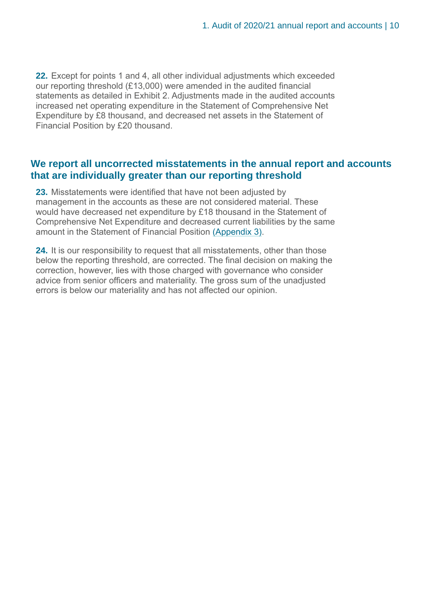**22.** Except for points 1 and 4, all other individual adjustments which exceeded our reporting threshold (£13,000) were amended in the audited financial statements as detailed in Exhibit 2. Adjustments made in the audited accounts increased net operating expenditure in the Statement of Comprehensive Net Expenditure by £8 thousand, and decreased net assets in the Statement of Financial Position by £20 thousand.

#### **We report all uncorrected misstatements in the annual report and accounts that are individually greater than our reporting threshold**

**23.** Misstatements were identified that have not been adjusted by management in the accounts as these are not considered material. These would have decreased net expenditure by £18 thousand in the Statement of Comprehensive Net Expenditure and decreased current liabilities by the same amount in the Statement of Financial Position [\(Appendix 3\).](#page-25-1)

**24.** It is our responsibility to request that all misstatements, other than those below the reporting threshold, are corrected. The final decision on making the correction, however, lies with those charged with governance who consider advice from senior officers and materiality. The gross sum of the unadjusted errors is below our materiality and has not affected our opinion.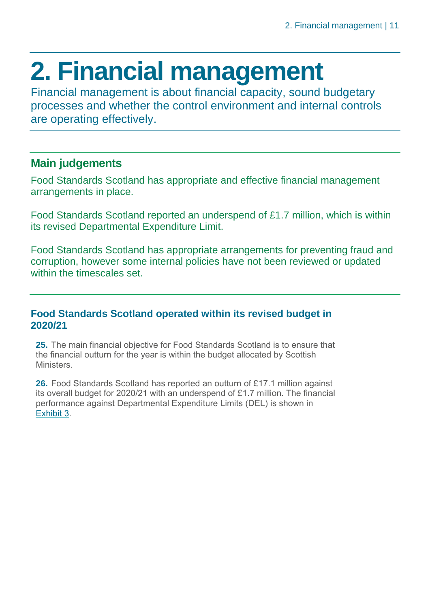### <span id="page-10-0"></span>**2. Financial management**

Financial management is about financial capacity, sound budgetary processes and whether the control environment and internal controls are operating effectively.

#### **Main judgements**

Food Standards Scotland has appropriate and effective financial management arrangements in place.

Food Standards Scotland reported an underspend of £1.7 million, which is within its revised Departmental Expenditure Limit.

Food Standards Scotland has appropriate arrangements for preventing fraud and corruption, however some internal policies have not been reviewed or updated within the timescales set.

#### **Food Standards Scotland operated within its revised budget in 2020/21**

**25.** The main financial objective for Food Standards Scotland is to ensure that the financial outturn for the year is within the budget allocated by Scottish Ministers.

**26.** Food Standards Scotland has reported an outturn of £17.1 million against its overall budget for 2020/21 with an underspend of £1.7 million. The financial performance against Departmental Expenditure Limits (DEL) is shown in [Exhibit](#page-11-0) 3.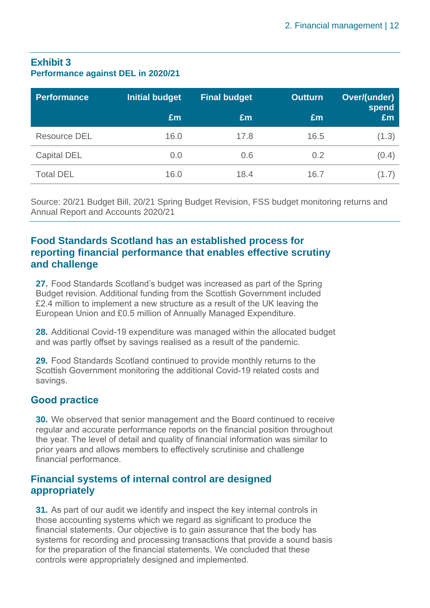#### <span id="page-11-0"></span>**Exhibit 3 Performance against DEL in 2020/21**

| Performance         | <b>Initial budget</b> | <b>Final budget</b> | <b>Outturn</b> | Over/(under)<br>spend |
|---------------------|-----------------------|---------------------|----------------|-----------------------|
|                     | £m                    | Em                  | £m             | Em                    |
| <b>Resource DEL</b> | 16.0                  | 17.8                | 16.5           | (1.3)                 |
| <b>Capital DEL</b>  | 0.0                   | 0.6                 | 0.2            | (0.4)                 |
| <b>Total DEL</b>    | 16.0                  | 18.4                | 16.7           | (1.7)                 |

Source: 20/21 Budget Bill, 20/21 Spring Budget Revision, FSS budget monitoring returns and Annual Report and Accounts 2020/21

#### **Food Standards Scotland has an established process for reporting financial performance that enables effective scrutiny and challenge**

**27.** Food Standards Scotland's budget was increased as part of the Spring Budget revision. Additional funding from the Scottish Government included £2.4 million to implement a new structure as a result of the UK leaving the European Union and £0.5 million of Annually Managed Expenditure.

**28.** Additional Covid-19 expenditure was managed within the allocated budget and was partly offset by savings realised as a result of the pandemic.

**29.** Food Standards Scotland continued to provide monthly returns to the Scottish Government monitoring the additional Covid-19 related costs and savings.

#### **Good practice**

**30.** We observed that senior management and the Board continued to receive regular and accurate performance reports on the financial position throughout the year. The level of detail and quality of financial information was similar to prior years and allows members to effectively scrutinise and challenge financial performance.

#### **Financial systems of internal control are designed appropriately**

**31.** As part of our audit we identify and inspect the key internal controls in those accounting systems which we regard as significant to produce the financial statements. Our objective is to gain assurance that the body has systems for recording and processing transactions that provide a sound basis for the preparation of the financial statements. We concluded that these controls were appropriately designed and implemented.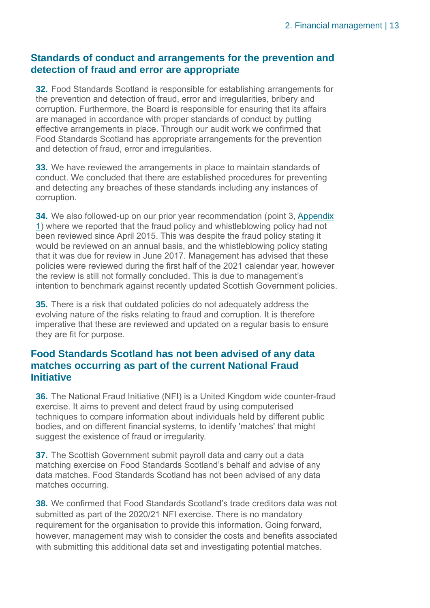#### **Standards of conduct and arrangements for the prevention and detection of fraud and error are appropriate**

**32.** Food Standards Scotland is responsible for establishing arrangements for the prevention and detection of fraud, error and irregularities, bribery and corruption. Furthermore, the Board is responsible for ensuring that its affairs are managed in accordance with proper standards of conduct by putting effective arrangements in place. Through our audit work we confirmed that Food Standards Scotland has appropriate arrangements for the prevention and detection of fraud, error and irregularities.

**33.** We have reviewed the arrangements in place to maintain standards of conduct. We concluded that there are established procedures for preventing and detecting any breaches of these standards including any instances of corruption.

**34.** We also followed-up on our prior year recommendation (point 3, [Appendix](#page-19-0)  [1\)](#page-19-0) where we reported that the fraud policy and whistleblowing policy had not been reviewed since April 2015. This was despite the fraud policy stating it would be reviewed on an annual basis, and the whistleblowing policy stating that it was due for review in June 2017. Management has advised that these policies were reviewed during the first half of the 2021 calendar year, however the review is still not formally concluded. This is due to management's intention to benchmark against recently updated Scottish Government policies.

**35.** There is a risk that outdated policies do not adequately address the evolving nature of the risks relating to fraud and corruption. It is therefore imperative that these are reviewed and updated on a regular basis to ensure they are fit for purpose.

#### **Food Standards Scotland has not been advised of any data matches occurring as part of the current National Fraud Initiative**

**36.** The National Fraud Initiative (NFI) is a United Kingdom wide counter-fraud exercise. It aims to prevent and detect fraud by using computerised techniques to compare information about individuals held by different public bodies, and on different financial systems, to identify 'matches' that might suggest the existence of fraud or irregularity.

**37.** The Scottish Government submit payroll data and carry out a data matching exercise on Food Standards Scotland's behalf and advise of any data matches. Food Standards Scotland has not been advised of any data matches occurring.

**38.** We confirmed that Food Standards Scotland's trade creditors data was not submitted as part of the 2020/21 NFI exercise. There is no mandatory requirement for the organisation to provide this information. Going forward, however, management may wish to consider the costs and benefits associated with submitting this additional data set and investigating potential matches.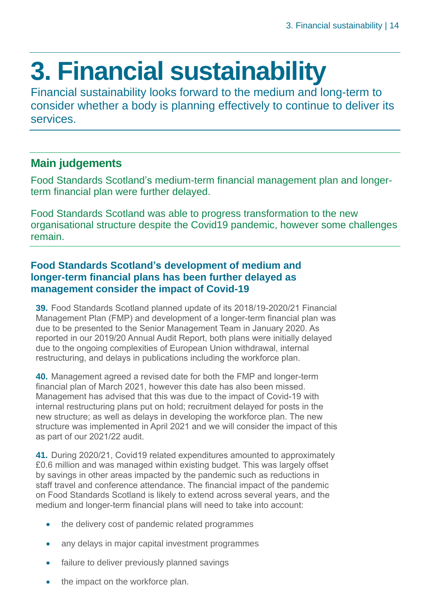## <span id="page-13-0"></span>**3. Financial sustainability**

Financial sustainability looks forward to the medium and long-term to consider whether a body is planning effectively to continue to deliver its services.

#### **Main judgements**

Food Standards Scotland's medium-term financial management plan and longerterm financial plan were further delayed.

Food Standards Scotland was able to progress transformation to the new organisational structure despite the Covid19 pandemic, however some challenges remain.

#### **Food Standards Scotland's development of medium and longer-term financial plans has been further delayed as management consider the impact of Covid-19**

**39.** Food Standards Scotland planned update of its 2018/19-2020/21 Financial Management Plan (FMP) and development of a longer-term financial plan was due to be presented to the Senior Management Team in January 2020. As reported in our 2019/20 Annual Audit Report, both plans were initially delayed due to the ongoing complexities of European Union withdrawal, internal restructuring, and delays in publications including the workforce plan.

**40.** Management agreed a revised date for both the FMP and longer-term financial plan of March 2021, however this date has also been missed. Management has advised that this was due to the impact of Covid-19 with internal restructuring plans put on hold; recruitment delayed for posts in the new structure; as well as delays in developing the workforce plan. The new structure was implemented in April 2021 and we will consider the impact of this as part of our 2021/22 audit.

**41.** During 2020/21, Covid19 related expenditures amounted to approximately £0.6 million and was managed within existing budget. This was largely offset by savings in other areas impacted by the pandemic such as reductions in staff travel and conference attendance. The financial impact of the pandemic on Food Standards Scotland is likely to extend across several years, and the medium and longer-term financial plans will need to take into account:

- the delivery cost of pandemic related programmes
- any delays in major capital investment programmes
- failure to deliver previously planned savings
- the impact on the workforce plan.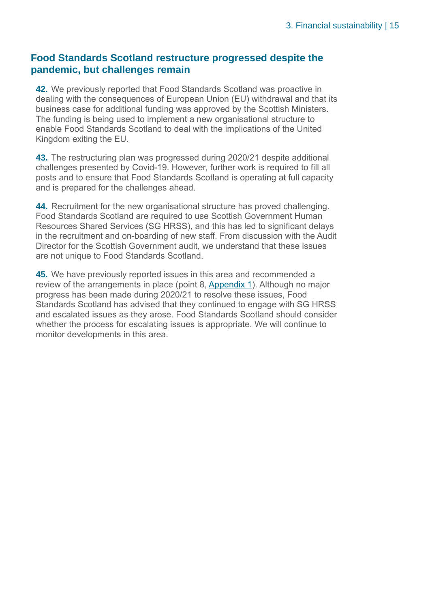#### **Food Standards Scotland restructure progressed despite the pandemic, but challenges remain**

**42.** We previously reported that Food Standards Scotland was proactive in dealing with the consequences of European Union (EU) withdrawal and that its business case for additional funding was approved by the Scottish Ministers. The funding is being used to implement a new organisational structure to enable Food Standards Scotland to deal with the implications of the United Kingdom exiting the EU.

**43.** The restructuring plan was progressed during 2020/21 despite additional challenges presented by Covid-19. However, further work is required to fill all posts and to ensure that Food Standards Scotland is operating at full capacity and is prepared for the challenges ahead.

**44.** Recruitment for the new organisational structure has proved challenging. Food Standards Scotland are required to use Scottish Government Human Resources Shared Services (SG HRSS), and this has led to significant delays in the recruitment and on-boarding of new staff. From discussion with the Audit Director for the Scottish Government audit, we understand that these issues are not unique to Food Standards Scotland.

**45.** We have previously reported issues in this area and recommended a review of the arrangements in place (point 8, [Appendix 1\)](https://euc-word-edit.officeapps.live.com/we/wordeditorframe.aspx?ui=en%2DGB&rs=en%2DUS&wopisrc=https%3A%2F%2Fauditscotland.sharepoint.com%2Fsites%2FFoodStandardsScotland%2F_vti_bin%2Fwopi.ashx%2Ffiles%2F0b9ab841cb014ee2bf52e663e33269b0&wdenableroaming=1&wdfr=1&mscc=1&hid=DBEFEA9F-209E-C000-6EE5-69DFD2221DB6&wdorigin=ItemsView&wdhostclicktime=1630423539888&jsapi=1&jsapiver=v1&newsession=1&corrid=88447898-7e4b-ced1-b3a7-4ac101fe2c25&usid=88447898-7e4b-ced1-b3a7-4ac101fe2c25&sftc=1&mtf=1&sfp=1&instantedit=1&wopicomplete=1&wdredirectionreason=Unified_SingleFlush&preseededsessionkey=53d1500d-87b9-f15c-6146-7afee86a0e09&preseededwacsessionid=88447898-7e4b-ced1-b3a7-4ac101fe2c25&rct=Medium&ctp=LeastProtected#Appendix_1). Although no major progress has been made during 2020/21 to resolve these issues, Food Standards Scotland has advised that they continued to engage with SG HRSS and escalated issues as they arose. Food Standards Scotland should consider whether the process for escalating issues is appropriate. We will continue to monitor developments in this area.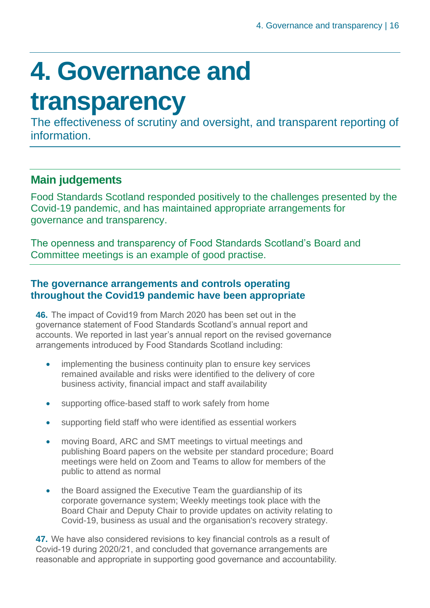## <span id="page-15-0"></span>**4. Governance and**

### **transparency**

The effectiveness of scrutiny and oversight, and transparent reporting of **information** 

#### **Main judgements**

Food Standards Scotland responded positively to the challenges presented by the Covid-19 pandemic, and has maintained appropriate arrangements for governance and transparency.

The openness and transparency of Food Standards Scotland's Board and Committee meetings is an example of good practise.

#### **The governance arrangements and controls operating throughout the Covid19 pandemic have been appropriate**

**46.** The impact of Covid19 from March 2020 has been set out in the governance statement of Food Standards Scotland's annual report and accounts. We reported in last year's annual report on the revised governance arrangements introduced by Food Standards Scotland including:

- implementing the business continuity plan to ensure key services remained available and risks were identified to the delivery of core business activity, financial impact and staff availability
- supporting office-based staff to work safely from home
- supporting field staff who were identified as essential workers
- moving Board, ARC and SMT meetings to virtual meetings and publishing Board papers on the website per standard procedure; Board meetings were held on Zoom and Teams to allow for members of the public to attend as normal
- the Board assigned the Executive Team the guardianship of its corporate governance system; Weekly meetings took place with the Board Chair and Deputy Chair to provide updates on activity relating to Covid-19, business as usual and the organisation's recovery strategy.

**47.** We have also considered revisions to key financial controls as a result of Covid-19 during 2020/21, and concluded that governance arrangements are reasonable and appropriate in supporting good governance and accountability.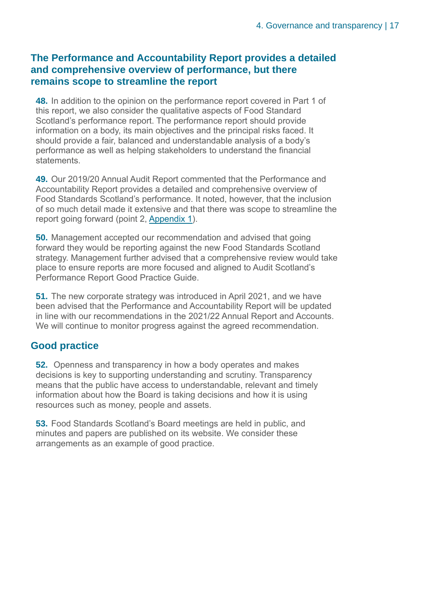#### **The Performance and Accountability Report provides a detailed and comprehensive overview of performance, but there remains scope to streamline the report**

**48.** In addition to the opinion on the performance report covered in Part 1 of this report, we also consider the qualitative aspects of Food Standard Scotland's performance report. The performance report should provide information on a body, its main objectives and the principal risks faced. It should provide a fair, balanced and understandable analysis of a body's performance as well as helping stakeholders to understand the financial statements.

**49.** Our 2019/20 Annual Audit Report commented that the Performance and Accountability Report provides a detailed and comprehensive overview of Food Standards Scotland's performance. It noted, however, that the inclusion of so much detail made it extensive and that there was scope to streamline the report going forward (point 2, [Appendix 1\)](https://euc-word-edit.officeapps.live.com/we/wordeditorframe.aspx?ui=en%2DGB&rs=en%2DUS&wopisrc=https%3A%2F%2Fauditscotland.sharepoint.com%2Fsites%2FFoodStandardsScotland%2F_vti_bin%2Fwopi.ashx%2Ffiles%2F0b9ab841cb014ee2bf52e663e33269b0&wdenableroaming=1&wdfr=1&mscc=1&hid=DBEFEA9F-209E-C000-6EE5-69DFD2221DB6&wdorigin=ItemsView&wdhostclicktime=1630423539888&jsapi=1&jsapiver=v1&newsession=1&corrid=88447898-7e4b-ced1-b3a7-4ac101fe2c25&usid=88447898-7e4b-ced1-b3a7-4ac101fe2c25&sftc=1&mtf=1&sfp=1&instantedit=1&wopicomplete=1&wdredirectionreason=Unified_SingleFlush&preseededsessionkey=53d1500d-87b9-f15c-6146-7afee86a0e09&preseededwacsessionid=88447898-7e4b-ced1-b3a7-4ac101fe2c25&rct=Medium&ctp=LeastProtected#Appendix_1).

**50.** Management accepted our recommendation and advised that going forward they would be reporting against the new Food Standards Scotland strategy. Management further advised that a comprehensive review would take place to ensure reports are more focused and aligned to Audit Scotland's Performance Report Good Practice Guide.

**51.** The new corporate strategy was introduced in April 2021, and we have been advised that the Performance and Accountability Report will be updated in line with our recommendations in the 2021/22 Annual Report and Accounts. We will continue to monitor progress against the agreed recommendation.

#### **Good practice**

**52.** Openness and transparency in how a body operates and makes decisions is key to supporting understanding and scrutiny. Transparency means that the public have access to understandable, relevant and timely information about how the Board is taking decisions and how it is using resources such as money, people and assets.

**53.** Food Standards Scotland's Board meetings are held in public, and minutes and papers are published on its website. We consider these arrangements as an example of good practice.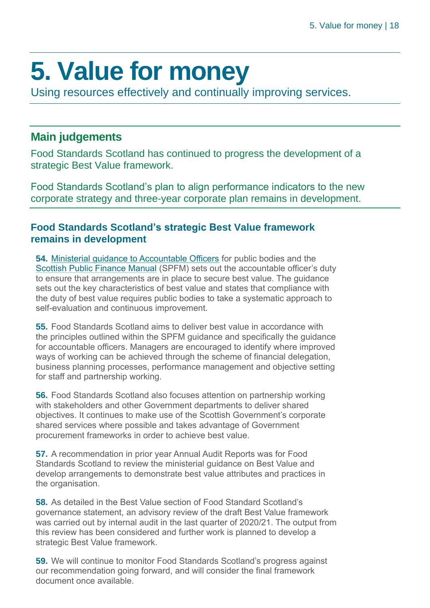## <span id="page-17-0"></span>**5. Value for money**

Using resources effectively and continually improving services.

#### **Main judgements**

Food Standards Scotland has continued to progress the development of a strategic Best Value framework.

Food Standards Scotland's plan to align performance indicators to the new corporate strategy and three-year corporate plan remains in development.

#### **Food Standards Scotland's strategic Best Value framework remains in development**

**54.** [Ministerial guidance to Accountable Officers](https://www.gov.scot/publications/best-value-public-services-guidance-accountable-officers/) for public bodies and the [Scottish Public Finance Manual](https://www.gov.scot/publications/scottish-public-finance-manual/best-value/best-value/) (SPFM) sets out the accountable officer's duty to ensure that arrangements are in place to secure best value. The guidance sets out the key characteristics of best value and states that compliance with the duty of best value requires public bodies to take a systematic approach to self-evaluation and continuous improvement.

**55.** Food Standards Scotland aims to deliver best value in accordance with the principles outlined within the SPFM guidance and specifically the guidance for accountable officers. Managers are encouraged to identify where improved ways of working can be achieved through the scheme of financial delegation, business planning processes, performance management and objective setting for staff and partnership working.

**56.** Food Standards Scotland also focuses attention on partnership working with stakeholders and other Government departments to deliver shared objectives. It continues to make use of the Scottish Government's corporate shared services where possible and takes advantage of Government procurement frameworks in order to achieve best value.

**57.** A recommendation in prior year Annual Audit Reports was for Food Standards Scotland to review the ministerial guidance on Best Value and develop arrangements to demonstrate best value attributes and practices in the organisation.

**58.** As detailed in the Best Value section of Food Standard Scotland's governance statement, an advisory review of the draft Best Value framework was carried out by internal audit in the last quarter of 2020/21. The output from this review has been considered and further work is planned to develop a strategic Best Value framework.

**59.** We will continue to monitor Food Standards Scotland's progress against our recommendation going forward, and will consider the final framework document once available.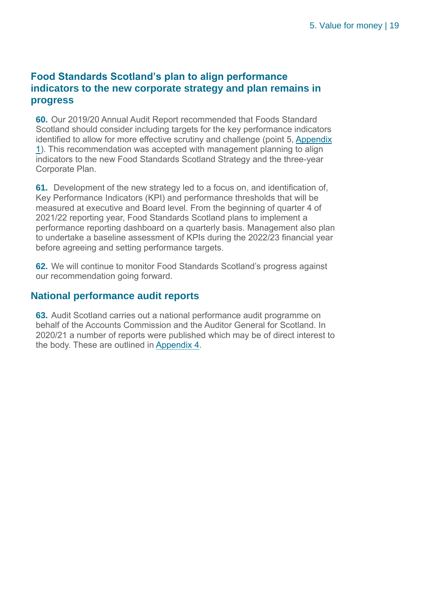#### **Food Standards Scotland's plan to align performance indicators to the new corporate strategy and plan remains in progress**

**60.** Our 2019/20 Annual Audit Report recommended that Foods Standard Scotland should consider including targets for the key performance indicators identified to allow for more effective scrutiny and challenge (point 5[, Appendix](https://euc-word-edit.officeapps.live.com/we/wordeditorframe.aspx?ui=en%2DGB&rs=en%2DUS&wopisrc=https%3A%2F%2Fauditscotland.sharepoint.com%2Fsites%2FFoodStandardsScotland%2F_vti_bin%2Fwopi.ashx%2Ffiles%2F0b9ab841cb014ee2bf52e663e33269b0&wdenableroaming=1&wdfr=1&mscc=1&hid=DBEFEA9F-209E-C000-6EE5-69DFD2221DB6&wdorigin=ItemsView&wdhostclicktime=1630423539888&jsapi=1&jsapiver=v1&newsession=1&corrid=88447898-7e4b-ced1-b3a7-4ac101fe2c25&usid=88447898-7e4b-ced1-b3a7-4ac101fe2c25&sftc=1&mtf=1&sfp=1&instantedit=1&wopicomplete=1&wdredirectionreason=Unified_SingleFlush&preseededsessionkey=53d1500d-87b9-f15c-6146-7afee86a0e09&preseededwacsessionid=88447898-7e4b-ced1-b3a7-4ac101fe2c25&rct=Medium&ctp=LeastProtected#Appendix_1)  [1\)](https://euc-word-edit.officeapps.live.com/we/wordeditorframe.aspx?ui=en%2DGB&rs=en%2DUS&wopisrc=https%3A%2F%2Fauditscotland.sharepoint.com%2Fsites%2FFoodStandardsScotland%2F_vti_bin%2Fwopi.ashx%2Ffiles%2F0b9ab841cb014ee2bf52e663e33269b0&wdenableroaming=1&wdfr=1&mscc=1&hid=DBEFEA9F-209E-C000-6EE5-69DFD2221DB6&wdorigin=ItemsView&wdhostclicktime=1630423539888&jsapi=1&jsapiver=v1&newsession=1&corrid=88447898-7e4b-ced1-b3a7-4ac101fe2c25&usid=88447898-7e4b-ced1-b3a7-4ac101fe2c25&sftc=1&mtf=1&sfp=1&instantedit=1&wopicomplete=1&wdredirectionreason=Unified_SingleFlush&preseededsessionkey=53d1500d-87b9-f15c-6146-7afee86a0e09&preseededwacsessionid=88447898-7e4b-ced1-b3a7-4ac101fe2c25&rct=Medium&ctp=LeastProtected#Appendix_1). This recommendation was accepted with management planning to align indicators to the new Food Standards Scotland Strategy and the three-year Corporate Plan.

**61.** Development of the new strategy led to a focus on, and identification of, Key Performance Indicators (KPI) and performance thresholds that will be measured at executive and Board level. From the beginning of quarter 4 of 2021/22 reporting year, Food Standards Scotland plans to implement a performance reporting dashboard on a quarterly basis. Management also plan to undertake a baseline assessment of KPIs during the 2022/23 financial year before agreeing and setting performance targets.

**62.** We will continue to monitor Food Standards Scotland's progress against our recommendation going forward.

#### **National performance audit reports**

**63.** Audit Scotland carries out a national performance audit programme on behalf of the Accounts Commission and the Auditor General for Scotland. In 2020/21 a number of reports were published which may be of direct interest to the body. These are outlined in [Appendix 4.](#page-28-0)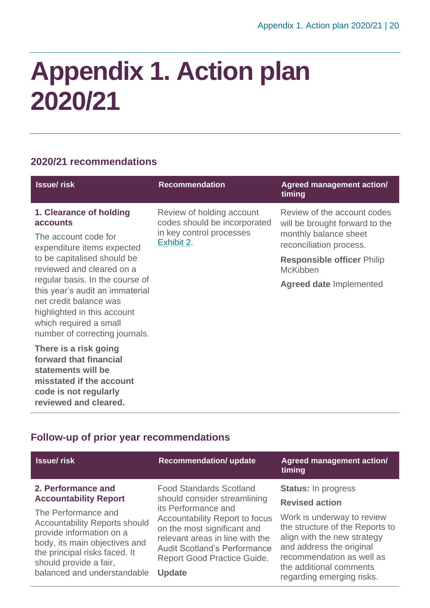### <span id="page-19-0"></span>**Appendix 1. Action plan 2020/21**

#### **2020/21 recommendations**

| <b>Issue/risk</b>                                                                                                                                                                       | <b>Recommendation</b>                                                                               | <b>Agreed management action/</b><br>timing                                                                        |
|-----------------------------------------------------------------------------------------------------------------------------------------------------------------------------------------|-----------------------------------------------------------------------------------------------------|-------------------------------------------------------------------------------------------------------------------|
| 1. Clearance of holding<br>accounts<br>The account code for<br>expenditure items expected                                                                                               | Review of holding account<br>codes should be incorporated<br>in key control processes<br>Exhibit 2. | Review of the account codes<br>will be brought forward to the<br>monthly balance sheet<br>reconciliation process. |
| to be capitalised should be<br>reviewed and cleared on a                                                                                                                                |                                                                                                     | <b>Responsible officer Philip</b><br><b>McKibben</b>                                                              |
| regular basis. In the course of<br>this year's audit an immaterial<br>net credit balance was<br>highlighted in this account<br>which required a small<br>number of correcting journals. |                                                                                                     | <b>Agreed date Implemented</b>                                                                                    |
| There is a risk going<br>forward that financial<br>statements will be<br>misstated if the account<br>code is not regularly                                                              |                                                                                                     |                                                                                                                   |

#### **Follow-up of prior year recommendations**

**reviewed and cleared.**

| <b>Issue/risk</b>                    | <b>Recommendation/ update</b>         | Agreed management action/<br>timing |
|--------------------------------------|---------------------------------------|-------------------------------------|
| 2. Performance and                   | <b>Food Standards Scotland</b>        | <b>Status: In progress</b>          |
| <b>Accountability Report</b>         | should consider streamlining          | <b>Revised action</b>               |
| The Performance and                  | its Performance and                   | Work is underway to review          |
| <b>Accountability Reports should</b> | <b>Accountability Report to focus</b> | the structure of the Reports to     |
| provide information on a             | on the most significant and           | align with the new strategy         |
| body, its main objectives and        | relevant areas in line with the       | and address the original            |
| the principal risks faced. It        | <b>Audit Scotland's Performance</b>   | recommendation as well as           |
| should provide a fair,               | Report Good Practice Guide.           | the additional comments             |
| balanced and understandable          | <b>Update</b>                         | regarding emerging risks.           |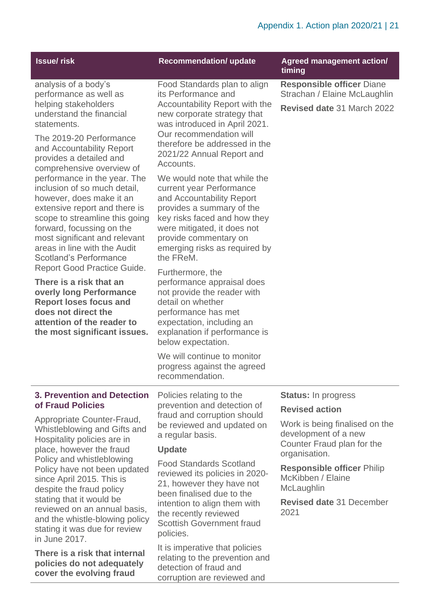| <b>Issue/risk</b>                                                                                                                                                                                                                                                                                                                                                                                                                                                                                                                                                                                                                                                                                                                                        | <b>Recommendation/ update</b>                                                                                                                                                                                                                                                                                                                                                                                                                                                                                                                                                                                                                                                                                      | <b>Agreed management action/</b><br>timing                                                                                                                                               |
|----------------------------------------------------------------------------------------------------------------------------------------------------------------------------------------------------------------------------------------------------------------------------------------------------------------------------------------------------------------------------------------------------------------------------------------------------------------------------------------------------------------------------------------------------------------------------------------------------------------------------------------------------------------------------------------------------------------------------------------------------------|--------------------------------------------------------------------------------------------------------------------------------------------------------------------------------------------------------------------------------------------------------------------------------------------------------------------------------------------------------------------------------------------------------------------------------------------------------------------------------------------------------------------------------------------------------------------------------------------------------------------------------------------------------------------------------------------------------------------|------------------------------------------------------------------------------------------------------------------------------------------------------------------------------------------|
| analysis of a body's<br>performance as well as<br>helping stakeholders<br>understand the financial<br>statements.<br>The 2019-20 Performance<br>and Accountability Report<br>provides a detailed and<br>comprehensive overview of<br>performance in the year. The<br>inclusion of so much detail,<br>however, does make it an<br>extensive report and there is<br>scope to streamline this going<br>forward, focussing on the<br>most significant and relevant<br>areas in line with the Audit<br><b>Scotland's Performance</b><br><b>Report Good Practice Guide.</b><br>There is a risk that an<br><b>overly long Performance</b><br><b>Report loses focus and</b><br>does not direct the<br>attention of the reader to<br>the most significant issues. | Food Standards plan to align<br>its Performance and<br>Accountability Report with the<br>new corporate strategy that<br>was introduced in April 2021.<br>Our recommendation will<br>therefore be addressed in the<br>2021/22 Annual Report and<br>Accounts.<br>We would note that while the<br>current year Performance<br>and Accountability Report<br>provides a summary of the<br>key risks faced and how they<br>were mitigated, it does not<br>provide commentary on<br>emerging risks as required by<br>the FReM.<br>Furthermore, the<br>performance appraisal does<br>not provide the reader with<br>detail on whether<br>performance has met<br>expectation, including an<br>explanation if performance is | <b>Responsible officer Diane</b><br>Strachan / Elaine McLaughlin<br>Revised date 31 March 2022                                                                                           |
|                                                                                                                                                                                                                                                                                                                                                                                                                                                                                                                                                                                                                                                                                                                                                          | below expectation.<br>We will continue to monitor<br>progress against the agreed<br>recommendation.                                                                                                                                                                                                                                                                                                                                                                                                                                                                                                                                                                                                                |                                                                                                                                                                                          |
|                                                                                                                                                                                                                                                                                                                                                                                                                                                                                                                                                                                                                                                                                                                                                          |                                                                                                                                                                                                                                                                                                                                                                                                                                                                                                                                                                                                                                                                                                                    |                                                                                                                                                                                          |
| 3. Prevention and Detection<br>of Fraud Policies                                                                                                                                                                                                                                                                                                                                                                                                                                                                                                                                                                                                                                                                                                         | Policies relating to the<br>prevention and detection of                                                                                                                                                                                                                                                                                                                                                                                                                                                                                                                                                                                                                                                            | <b>Status: In progress</b>                                                                                                                                                               |
| Appropriate Counter-Fraud,<br>Whistleblowing and Gifts and<br>Hospitality policies are in<br>place, however the fraud<br>Policy and whistleblowing<br>Policy have not been updated<br>since April 2015. This is                                                                                                                                                                                                                                                                                                                                                                                                                                                                                                                                          | fraud and corruption should<br>be reviewed and updated on<br>a regular basis.<br><b>Update</b><br><b>Food Standards Scotland</b><br>reviewed its policies in 2020-                                                                                                                                                                                                                                                                                                                                                                                                                                                                                                                                                 | <b>Revised action</b><br>Work is being finalised on the<br>development of a new<br>Counter Fraud plan for the<br>organisation.<br><b>Responsible officer Philip</b><br>McKibben / Elaine |
| despite the fraud policy<br>stating that it would be<br>reviewed on an annual basis,<br>and the whistle-blowing policy<br>stating it was due for review<br>in June 2017.                                                                                                                                                                                                                                                                                                                                                                                                                                                                                                                                                                                 | 21, however they have not<br>been finalised due to the<br>intention to align them with<br>the recently reviewed<br><b>Scottish Government fraud</b><br>policies.                                                                                                                                                                                                                                                                                                                                                                                                                                                                                                                                                   | McLaughlin<br><b>Revised date 31 December</b><br>2021                                                                                                                                    |

**There is a risk that internal policies do not adequately cover the evolving fraud** 

It is imperative that policies relating to the prevention and detection of fraud and corruption are reviewed and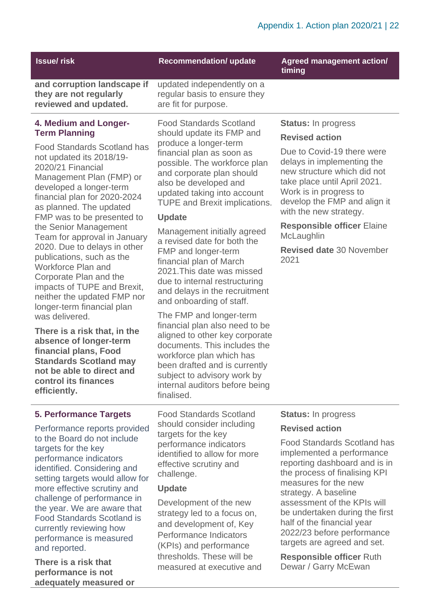| <b>Issue/risk</b>                                                                                                                                                                                                                                                                                                                                                                                                                                                                                                                                                                                                                                                                                                                                                        | <b>Recommendation/ update</b>                                                                                                                                                                                                                                                                                                                                                                                                                                                                                                                                                                                                                                                                                                                                                                                          | <b>Agreed management action/</b><br>timing                                                                                                                                                                                                                                                                                                                                                                                              |
|--------------------------------------------------------------------------------------------------------------------------------------------------------------------------------------------------------------------------------------------------------------------------------------------------------------------------------------------------------------------------------------------------------------------------------------------------------------------------------------------------------------------------------------------------------------------------------------------------------------------------------------------------------------------------------------------------------------------------------------------------------------------------|------------------------------------------------------------------------------------------------------------------------------------------------------------------------------------------------------------------------------------------------------------------------------------------------------------------------------------------------------------------------------------------------------------------------------------------------------------------------------------------------------------------------------------------------------------------------------------------------------------------------------------------------------------------------------------------------------------------------------------------------------------------------------------------------------------------------|-----------------------------------------------------------------------------------------------------------------------------------------------------------------------------------------------------------------------------------------------------------------------------------------------------------------------------------------------------------------------------------------------------------------------------------------|
| and corruption landscape if<br>they are not regularly<br>reviewed and updated.                                                                                                                                                                                                                                                                                                                                                                                                                                                                                                                                                                                                                                                                                           | updated independently on a<br>regular basis to ensure they<br>are fit for purpose.                                                                                                                                                                                                                                                                                                                                                                                                                                                                                                                                                                                                                                                                                                                                     |                                                                                                                                                                                                                                                                                                                                                                                                                                         |
| 4. Medium and Longer-<br><b>Term Planning</b><br><b>Food Standards Scotland has</b><br>not updated its 2018/19-<br>2020/21 Financial<br>Management Plan (FMP) or<br>developed a longer-term<br>financial plan for 2020-2024<br>as planned. The updated<br>FMP was to be presented to<br>the Senior Management<br>Team for approval in January<br>2020. Due to delays in other<br>publications, such as the<br><b>Workforce Plan and</b><br>Corporate Plan and the<br>impacts of TUPE and Brexit,<br>neither the updated FMP nor<br>longer-term financial plan<br>was delivered.<br>There is a risk that, in the<br>absence of longer-term<br>financial plans, Food<br><b>Standards Scotland may</b><br>not be able to direct and<br>control its finances<br>efficiently. | <b>Food Standards Scotland</b><br>should update its FMP and<br>produce a longer-term<br>financial plan as soon as<br>possible. The workforce plan<br>and corporate plan should<br>also be developed and<br>updated taking into account<br><b>TUPE and Brexit implications.</b><br><b>Update</b><br>Management initially agreed<br>a revised date for both the<br>FMP and longer-term<br>financial plan of March<br>2021. This date was missed<br>due to internal restructuring<br>and delays in the recruitment<br>and onboarding of staff.<br>The FMP and longer-term<br>financial plan also need to be<br>aligned to other key corporate<br>documents. This includes the<br>workforce plan which has<br>been drafted and is currently<br>subject to advisory work by<br>internal auditors before being<br>finalised. | <b>Status:</b> In progress<br><b>Revised action</b><br>Due to Covid-19 there were<br>delays in implementing the<br>new structure which did not<br>take place until April 2021.<br>Work is in progress to<br>develop the FMP and align it<br>with the new strategy.<br><b>Responsible officer Elaine</b><br>McLaughlin<br><b>Revised date 30 November</b><br>2021                                                                        |
| <b>5. Performance Targets</b><br>Performance reports provided<br>to the Board do not include<br>targets for the key<br>performance indicators<br>identified. Considering and<br>setting targets would allow for<br>more effective scrutiny and<br>challenge of performance in<br>the year. We are aware that<br><b>Food Standards Scotland is</b><br>currently reviewing how<br>performance is measured<br>and reported.<br>There is a risk that                                                                                                                                                                                                                                                                                                                         | <b>Food Standards Scotland</b><br>should consider including<br>targets for the key<br>performance indicators<br>identified to allow for more<br>effective scrutiny and<br>challenge.<br><b>Update</b><br>Development of the new<br>strategy led to a focus on,<br>and development of, Key<br>Performance Indicators<br>(KPIs) and performance<br>thresholds. These will be                                                                                                                                                                                                                                                                                                                                                                                                                                             | <b>Status:</b> In progress<br><b>Revised action</b><br><b>Food Standards Scotland has</b><br>implemented a performance<br>reporting dashboard and is in<br>the process of finalising KPI<br>measures for the new<br>strategy. A baseline<br>assessment of the KPIs will<br>be undertaken during the first<br>half of the financial year<br>2022/23 before performance<br>targets are agreed and set.<br><b>Responsible officer Ruth</b> |
| performance is not                                                                                                                                                                                                                                                                                                                                                                                                                                                                                                                                                                                                                                                                                                                                                       | measured at executive and                                                                                                                                                                                                                                                                                                                                                                                                                                                                                                                                                                                                                                                                                                                                                                                              | Dewar / Garry McEwan                                                                                                                                                                                                                                                                                                                                                                                                                    |

**adequately measured or**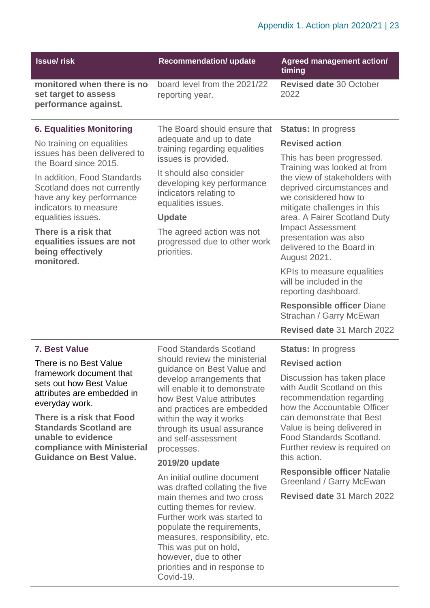| <b>Issue/risk</b>                                                                                                                                                                                                                                                                                                                         | <b>Recommendation/ update</b>                                                                                                                                                                                                                                             | <b>Agreed management action/</b><br>timing                                                                                                                                                                                                    |
|-------------------------------------------------------------------------------------------------------------------------------------------------------------------------------------------------------------------------------------------------------------------------------------------------------------------------------------------|---------------------------------------------------------------------------------------------------------------------------------------------------------------------------------------------------------------------------------------------------------------------------|-----------------------------------------------------------------------------------------------------------------------------------------------------------------------------------------------------------------------------------------------|
| monitored when there is no<br>set target to assess<br>performance against.                                                                                                                                                                                                                                                                | board level from the 2021/22<br>reporting year.                                                                                                                                                                                                                           | <b>Revised date 30 October</b><br>2022                                                                                                                                                                                                        |
| <b>6. Equalities Monitoring</b>                                                                                                                                                                                                                                                                                                           | The Board should ensure that                                                                                                                                                                                                                                              | <b>Status: In progress</b>                                                                                                                                                                                                                    |
| No training on equalities                                                                                                                                                                                                                                                                                                                 | adequate and up to date<br>training regarding equalities                                                                                                                                                                                                                  | <b>Revised action</b>                                                                                                                                                                                                                         |
| issues has been delivered to<br>the Board since 2015.                                                                                                                                                                                                                                                                                     | issues is provided.                                                                                                                                                                                                                                                       | This has been progressed.<br>Training was looked at from                                                                                                                                                                                      |
| In addition, Food Standards<br>Scotland does not currently<br>have any key performance<br>indicators to measure                                                                                                                                                                                                                           | It should also consider<br>developing key performance<br>indicators relating to<br>equalities issues.<br><b>Update</b><br>The agreed action was not<br>progressed due to other work<br>priorities.                                                                        | the view of stakeholders with<br>deprived circumstances and<br>we considered how to<br>mitigate challenges in this                                                                                                                            |
| equalities issues.<br>There is a risk that<br>equalities issues are not<br>being effectively<br>monitored.                                                                                                                                                                                                                                |                                                                                                                                                                                                                                                                           | area. A Fairer Scotland Duty<br><b>Impact Assessment</b><br>presentation was also<br>delivered to the Board in<br><b>August 2021.</b>                                                                                                         |
|                                                                                                                                                                                                                                                                                                                                           |                                                                                                                                                                                                                                                                           | KPIs to measure equalities<br>will be included in the<br>reporting dashboard.                                                                                                                                                                 |
|                                                                                                                                                                                                                                                                                                                                           |                                                                                                                                                                                                                                                                           | <b>Responsible officer Diane</b><br>Strachan / Garry McEwan                                                                                                                                                                                   |
|                                                                                                                                                                                                                                                                                                                                           |                                                                                                                                                                                                                                                                           | Revised date 31 March 2022                                                                                                                                                                                                                    |
| 7. Best Value                                                                                                                                                                                                                                                                                                                             | <b>Food Standards Scotland</b>                                                                                                                                                                                                                                            | <b>Status: In progress</b>                                                                                                                                                                                                                    |
| There is no Best Value                                                                                                                                                                                                                                                                                                                    | should review the ministerial<br>guidance on Best Value and                                                                                                                                                                                                               | <b>Revised action</b>                                                                                                                                                                                                                         |
| framework document that<br>sets out how Best Value<br>attributes are embedded in<br>everyday work.<br>There is a risk that Food<br>within the way it works<br><b>Standards Scotland are</b><br>unable to evidence<br>and self-assessment<br>compliance with Ministerial<br>processes.<br><b>Guidance on Best Value.</b><br>2019/20 update | develop arrangements that<br>will enable it to demonstrate<br>how Best Value attributes<br>and practices are embedded<br>through its usual assurance                                                                                                                      | Discussion has taken place<br>with Audit Scotland on this<br>recommendation regarding<br>how the Accountable Officer<br>can demonstrate that Best<br>Value is being delivered in<br>Food Standards Scotland.<br>Further review is required on |
|                                                                                                                                                                                                                                                                                                                                           |                                                                                                                                                                                                                                                                           | this action.                                                                                                                                                                                                                                  |
|                                                                                                                                                                                                                                                                                                                                           | An initial outline document<br>was drafted collating the five<br>main themes and two cross<br>cutting themes for review.<br>Further work was started to<br>populate the requirements,<br>measures, responsibility, etc.<br>This was put on hold,<br>however, due to other | <b>Responsible officer Natalie</b><br>Greenland / Garry McEwan<br>Revised date 31 March 2022                                                                                                                                                  |

priorities and in response to

Covid-19.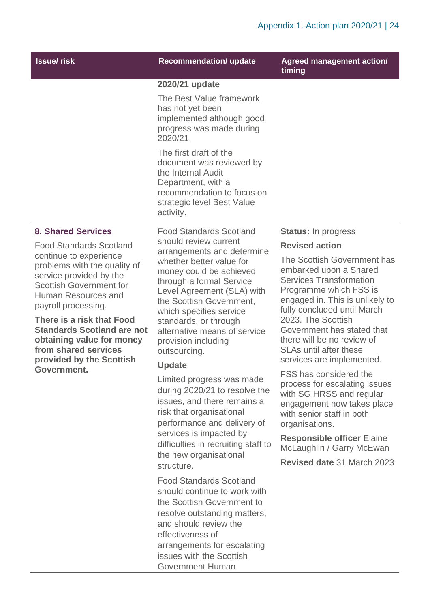| <b>Issue/risk</b>                                                                                                                                                                                                                                                                        | <b>Recommendation/ update</b>                                                                                                                                                                                                                                                                      | <b>Agreed management action/</b><br>timing                                                                                                                                                                |
|------------------------------------------------------------------------------------------------------------------------------------------------------------------------------------------------------------------------------------------------------------------------------------------|----------------------------------------------------------------------------------------------------------------------------------------------------------------------------------------------------------------------------------------------------------------------------------------------------|-----------------------------------------------------------------------------------------------------------------------------------------------------------------------------------------------------------|
|                                                                                                                                                                                                                                                                                          | 2020/21 update                                                                                                                                                                                                                                                                                     |                                                                                                                                                                                                           |
|                                                                                                                                                                                                                                                                                          | The Best Value framework<br>has not yet been<br>implemented although good<br>progress was made during<br>2020/21.                                                                                                                                                                                  |                                                                                                                                                                                                           |
|                                                                                                                                                                                                                                                                                          | The first draft of the<br>document was reviewed by<br>the Internal Audit<br>Department, with a<br>recommendation to focus on<br>strategic level Best Value<br>activity.                                                                                                                            |                                                                                                                                                                                                           |
| <b>8. Shared Services</b>                                                                                                                                                                                                                                                                | <b>Food Standards Scotland</b>                                                                                                                                                                                                                                                                     | <b>Status:</b> In progress                                                                                                                                                                                |
| <b>Food Standards Scotland</b>                                                                                                                                                                                                                                                           | should review current                                                                                                                                                                                                                                                                              | <b>Revised action</b>                                                                                                                                                                                     |
| continue to experience<br>problems with the quality of<br>service provided by the<br><b>Scottish Government for</b><br>Human Resources and<br>payroll processing.<br>There is a risk that Food<br><b>Standards Scotland are not</b><br>obtaining value for money<br>from shared services | arrangements and determine<br>whether better value for<br>money could be achieved<br>through a formal Service<br>Level Agreement (SLA) with<br>the Scottish Government,<br>which specifies service<br>standards, or through<br>alternative means of service<br>provision including<br>outsourcing. | The Scottish Government has<br>embarked upon a Shared<br><b>Services Transformation</b><br>Programme which FSS is<br>engaged in. This is unlikely to<br>fully concluded until March<br>2023. The Scottish |
|                                                                                                                                                                                                                                                                                          |                                                                                                                                                                                                                                                                                                    | Government has stated that<br>there will be no review of<br><b>SLAs until after these</b>                                                                                                                 |
| provided by the Scottish                                                                                                                                                                                                                                                                 | <b>Update</b>                                                                                                                                                                                                                                                                                      | services are implemented.                                                                                                                                                                                 |
| Government.                                                                                                                                                                                                                                                                              | Limited progress was made<br>during 2020/21 to resolve the<br>issues, and there remains a<br>risk that organisational<br>performance and delivery of<br>services is impacted by<br>difficulties in recruiting staff to<br>the new organisational                                                   | FSS has considered the<br>process for escalating issues<br>with SG HRSS and regular<br>engagement now takes place<br>with senior staff in both<br>organisations.                                          |
|                                                                                                                                                                                                                                                                                          |                                                                                                                                                                                                                                                                                                    | <b>Responsible officer Elaine</b><br>McLaughlin / Garry McEwan                                                                                                                                            |
|                                                                                                                                                                                                                                                                                          | structure.                                                                                                                                                                                                                                                                                         | Revised date 31 March 2023                                                                                                                                                                                |
|                                                                                                                                                                                                                                                                                          | <b>Food Standards Scotland</b><br>should continue to work with<br>the Scottish Government to<br>resolve outstanding matters,<br>and should review the<br>effectiveness of                                                                                                                          |                                                                                                                                                                                                           |

arrangements for escalating issues with the Scottish Government Human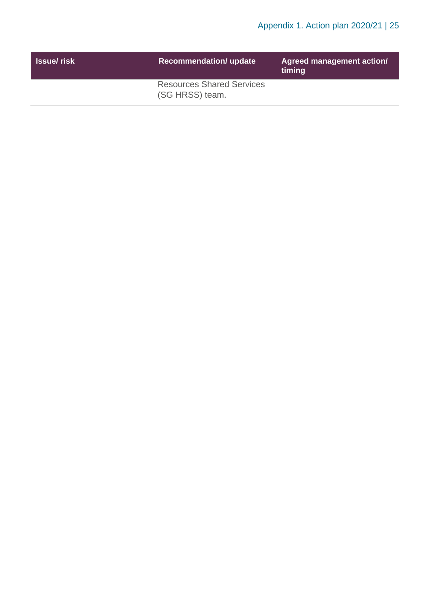| <b>Issue/ risk</b> | <b>Recommendation/ update</b>                       | Agreed management action/<br>timing |
|--------------------|-----------------------------------------------------|-------------------------------------|
|                    | <b>Resources Shared Services</b><br>(SG HRSS) team. |                                     |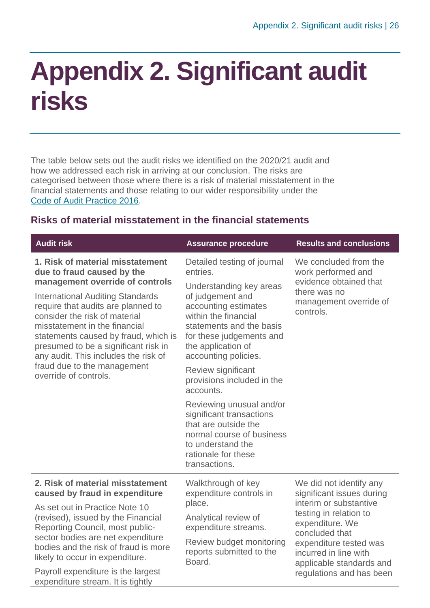### <span id="page-25-0"></span>**Appendix 2. Significant audit risks**

The table below sets out the audit risks we identified on the 2020/21 audit and how we addressed each risk in arriving at our conclusion. The risks are categorised between those where there is a risk of material misstatement in the financial statements and those relating to our wider responsibility under the [Code of Audit Practice 2016.](http://www.audit-scotland.gov.uk/report/code-of-audit-practice-2016)

#### <span id="page-25-1"></span>**Risks of material misstatement in the financial statements**

| <b>Audit risk</b>                                                                                                                                                                                                                                                                                                                                                                                                                    | <b>Assurance procedure</b>                                                                                                                                                                                                                                                                                                                                                                                                                                                              | <b>Results and conclusions</b>                                                                                                           |
|--------------------------------------------------------------------------------------------------------------------------------------------------------------------------------------------------------------------------------------------------------------------------------------------------------------------------------------------------------------------------------------------------------------------------------------|-----------------------------------------------------------------------------------------------------------------------------------------------------------------------------------------------------------------------------------------------------------------------------------------------------------------------------------------------------------------------------------------------------------------------------------------------------------------------------------------|------------------------------------------------------------------------------------------------------------------------------------------|
| 1. Risk of material misstatement<br>due to fraud caused by the<br>management override of controls<br><b>International Auditing Standards</b><br>require that audits are planned to<br>consider the risk of material<br>misstatement in the financial<br>statements caused by fraud, which is<br>presumed to be a significant risk in<br>any audit. This includes the risk of<br>fraud due to the management<br>override of controls. | Detailed testing of journal<br>entries.<br>Understanding key areas<br>of judgement and<br>accounting estimates<br>within the financial<br>statements and the basis<br>for these judgements and<br>the application of<br>accounting policies.<br>Review significant<br>provisions included in the<br>accounts.<br>Reviewing unusual and/or<br>significant transactions<br>that are outside the<br>normal course of business<br>to understand the<br>rationale for these<br>transactions. | We concluded from the<br>work performed and<br>evidence obtained that<br>there was no<br>management override of<br>controls.             |
| 2. Risk of material misstatement<br>caused by fraud in expenditure                                                                                                                                                                                                                                                                                                                                                                   | Walkthrough of key<br>expenditure controls in                                                                                                                                                                                                                                                                                                                                                                                                                                           | We did not identify any<br>significant issues during                                                                                     |
| As set out in Practice Note 10<br>(revised), issued by the Financial<br>Reporting Council, most public-<br>sector bodies are net expenditure<br>bodies and the risk of fraud is more<br>likely to occur in expenditure.                                                                                                                                                                                                              | place.<br>Analytical review of<br>expenditure streams.<br>Review budget monitoring<br>reports submitted to the<br>Board.                                                                                                                                                                                                                                                                                                                                                                | interim or substantive<br>testing in relation to<br>expenditure. We<br>concluded that<br>expenditure tested was<br>incurred in line with |
| Payroll expenditure is the largest<br>expenditure stream. It is tightly                                                                                                                                                                                                                                                                                                                                                              |                                                                                                                                                                                                                                                                                                                                                                                                                                                                                         | applicable standards and<br>regulations and has been                                                                                     |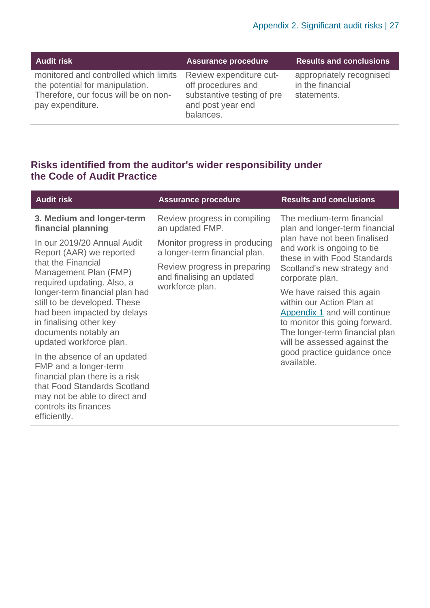| <b>Audit risk</b>                                                                                                                    | <b>Assurance procedure</b>                                                                                    | <b>Results and conclusions</b>                              |
|--------------------------------------------------------------------------------------------------------------------------------------|---------------------------------------------------------------------------------------------------------------|-------------------------------------------------------------|
| monitored and controlled which limits<br>the potential for manipulation.<br>Therefore, our focus will be on non-<br>pay expenditure. | Review expenditure cut-<br>off procedures and<br>substantive testing of pre<br>and post year end<br>balances. | appropriately recognised<br>in the financial<br>statements. |

#### **Risks identified from the auditor's wider responsibility under the Code of Audit Practice**

| <b>Audit risk</b>                                                                                                                                                                                 | <b>Assurance procedure</b>                                     | <b>Results and conclusions</b>                                                                                                                                                                                                          |  |
|---------------------------------------------------------------------------------------------------------------------------------------------------------------------------------------------------|----------------------------------------------------------------|-----------------------------------------------------------------------------------------------------------------------------------------------------------------------------------------------------------------------------------------|--|
| 3. Medium and longer-term<br>financial planning                                                                                                                                                   | Review progress in compiling<br>an updated FMP.                | The medium-term financial<br>plan and longer-term financial                                                                                                                                                                             |  |
| In our 2019/20 Annual Audit<br>Report (AAR) we reported<br>that the Financial<br>Management Plan (FMP)<br>required updating. Also, a                                                              | Monitor progress in producing<br>a longer-term financial plan. | plan have not been finalised<br>and work is ongoing to tie<br>these in with Food Standards<br>Scotland's new strategy and<br>corporate plan.                                                                                            |  |
|                                                                                                                                                                                                   | Review progress in preparing<br>and finalising an updated      |                                                                                                                                                                                                                                         |  |
| longer-term financial plan had<br>still to be developed. These<br>had been impacted by delays<br>in finalising other key<br>documents notably an<br>updated workforce plan.                       | workforce plan.                                                | We have raised this again<br>within our Action Plan at<br>Appendix 1 and will continue<br>to monitor this going forward.<br>The longer-term financial plan<br>will be assessed against the<br>good practice guidance once<br>available. |  |
| In the absence of an updated<br>FMP and a longer-term<br>financial plan there is a risk<br>that Food Standards Scotland<br>may not be able to direct and<br>controls its finances<br>efficiently. |                                                                |                                                                                                                                                                                                                                         |  |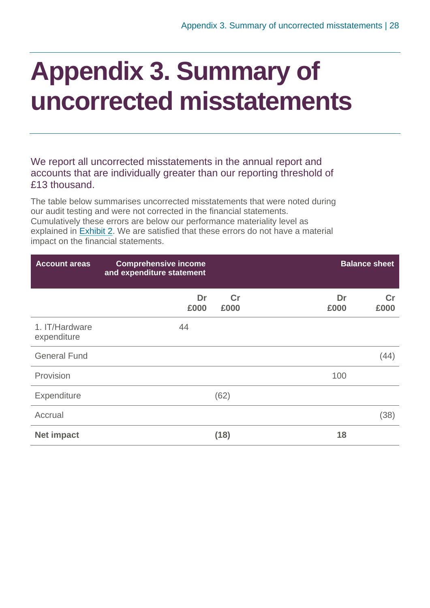### <span id="page-27-0"></span>**Appendix 3. Summary of uncorrected misstatements**

We report all uncorrected misstatements in the annual report and accounts that are individually greater than our reporting threshold of £13 thousand.

The table below summarises uncorrected misstatements that were noted during our audit testing and were not corrected in the financial statements. Cumulatively these errors are below our performance materiality level as explained in [Exhibit](#page-8-0) 2. We are satisfied that these errors do not have a material impact on the financial statements.

| <b>Account areas</b>          | <b>Comprehensive income</b><br>and expenditure statement |            |            | <b>Balance sheet</b> |  |
|-------------------------------|----------------------------------------------------------|------------|------------|----------------------|--|
|                               | Dr<br>£000                                               | Cr<br>£000 | Dr<br>£000 | Cr<br>£000           |  |
| 1. IT/Hardware<br>expenditure | 44                                                       |            |            |                      |  |
| <b>General Fund</b>           |                                                          |            |            | (44)                 |  |
| Provision                     |                                                          |            | 100        |                      |  |
| Expenditure                   |                                                          | (62)       |            |                      |  |
| Accrual                       |                                                          |            |            | (38)                 |  |
| <b>Net impact</b>             |                                                          | (18)       | 18         |                      |  |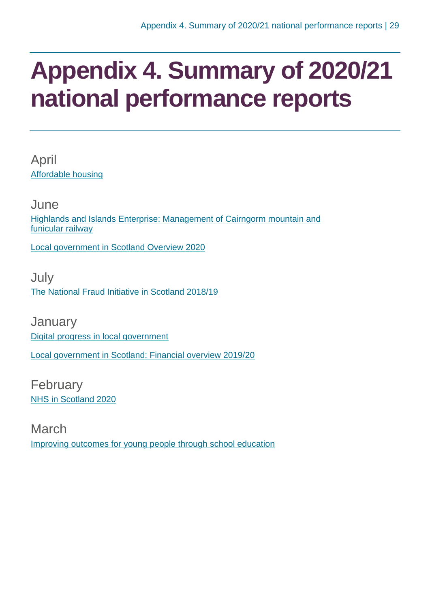### <span id="page-28-0"></span>**Appendix 4. Summary of 2020/21 national performance reports**

April [Affordable housing](https://www.audit-scotland.gov.uk/report/affordable-housing)

June [Highlands and Islands Enterprise: Management of Cairngorm mountain and](https://www.audit-scotland.gov.uk/report/highlands-and-islands-enterprise-management-of-cairngorm-mountain-and-funicular-railway)  [funicular railway](https://www.audit-scotland.gov.uk/report/highlands-and-islands-enterprise-management-of-cairngorm-mountain-and-funicular-railway)

[Local government in Scotland Overview 2020](https://www.audit-scotland.gov.uk/report/local-government-in-scotland-overview-2020)

July [The National Fraud Initiative in Scotland 2018/19](https://www.audit-scotland.gov.uk/report/the-national-fraud-initiative-in-scotland-201819)

**January** [Digital progress in local government](https://www.audit-scotland.gov.uk/report/digital-progress-in-local-government) [Local government in Scotland: Financial overview 2019/20](https://www.audit-scotland.gov.uk/report/local-government-in-scotland-financial-overview-201920)

February [NHS in Scotland 2020](https://www.audit-scotland.gov.uk/report/nhs-in-scotland-2020)

March [Improving outcomes for young people through school education](https://www.audit-scotland.gov.uk/report/improving-outcomes-for-young-people-through-school-education)